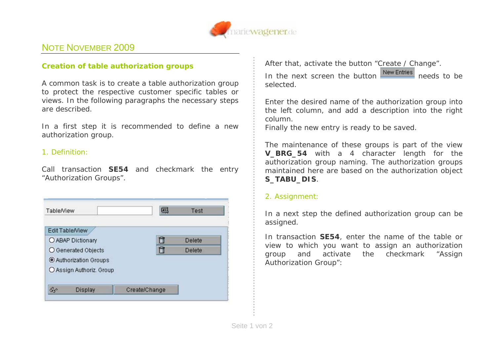

## NOTE NOVEMBER 2009

## *Creation of table authorization groups*

A common task is to create a table authorization group to protect the respective customer specific tables or views. In the following paragraphs the necessary steps are described.

In a first step it is recommended to define a new authorization group.

## 1. Definition:

Call transaction **SE54** and checkmark the entry "*Authorization Groups*".

| Delete |
|--------|
|        |
|        |
| Delete |
|        |
|        |
|        |

After that, activate the button "*Create / Change*". In the next screen the button **needs** needs to be selected.

Enter the desired name of the authorization group into the left column, and add a description into the right column.

Finally the new entry is ready to be saved.

The maintenance of these groups is part of the view **V\_BRG\_54** with a 4 character length for the authorization group naming. The authorization groups maintained here are based on the authorization object **S\_TABU\_DIS**.

## 2. Assignment:

In a next step the defined authorization group can be assigned.

In transaction **SE54**, enter the name of the table or view to which you want to assign an authorization group and activate the checkmark "*Assign Authorization Group"*: